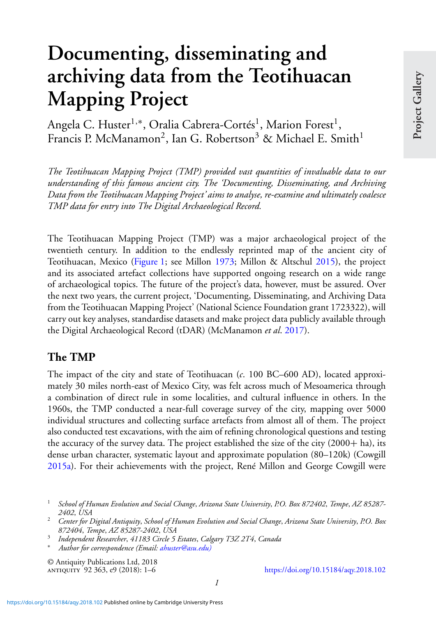# **Documenting, disseminating and archiving data from the Teotihuacan Mapping Project**

Angela C. Huster<sup>1,\*</sup>, Oralia Cabrera-Cortés<sup>1</sup>, Marion Forest<sup>1</sup>, Francis P. McManamon<sup>2</sup>, Ian G. Robertson<sup>3</sup> & Michael E. Smith<sup>1</sup>

*The Teotihuacan Mapping Project (TMP) provided vast quantities of invaluable data to our understanding of this famous ancient city. The 'Documenting, Disseminating, and Archiving Data from the Teotihuacan Mapping Project' aims to analyse, re-examine and ultimately coalesce TMP data for entry into The Digital Archaeological Record.*

The Teotihuacan Mapping Project (TMP) was a major archaeological project of the twentieth century. In addition to the endlessly reprinted map of the ancient city of Teotihuacan, Mexico [\(Figure 1;](#page-1-0) see Millon [1973;](#page-5-0) Millon & Altschul [2015\)](#page-5-0), the project and its associated artefact collections have supported ongoing research on a wide range of archaeological topics. The future of the project's data, however, must be assured. Over the next two years, the current project, 'Documenting, Disseminating, and Archiving Data from the Teotihuacan Mapping Project' (National Science Foundation grant 1723322), will carry out key analyses, standardise datasets and make project data publicly available through the Digital Archaeological Record (tDAR) (McManamon *et al*. [2017\)](#page-5-0).

### **The TMP**

The impact of the city and state of Teotihuacan (*c*. 100 BC–600 AD), located approximately 30 miles north-east of Mexico City, was felt across much of Mesoamerica through a combination of direct rule in some localities, and cultural influence in others. In the 1960s, the TMP conducted a near-full coverage survey of the city, mapping over 5000 individual structures and collecting surface artefacts from almost all of them. The project also conducted test excavations, with the aim of refining chronological questions and testing the accuracy of the survey data. The project established the size of the city  $(2000 + ha)$ , its dense urban character, systematic layout and approximate population (80–120k) (Cowgill [2015a\)](#page-5-0). For their achievements with the project, René Millon and George Cowgill were

© Antiquity Publications Ltd, 2018

<https://doi.org/10.15184/aqy.2018.102>

<sup>1</sup> *School of Human Evolution and Social Change*, *Arizona State University*, *P.O. Box 872402*, *Tempe*, *AZ 85287-*

*<sup>2402</sup>*, *USA* <sup>2</sup> *Center for Digital Antiquity*, *School of Human Evolution and Social Change*, *Arizona State University*, *P.O. Box*

*<sup>872404</sup>*, *Tempe*, *AZ 85287-2402*, *USA* <sup>3</sup> *Independent Researcher*, *41183 Circle 5 Estates*, *Calgary T3Z 2T4*, *Canada*

<sup>∗</sup> *Author for correspondence (Email: [ahuster@asu.edu\)](mailto:ahuster@asu.edu))*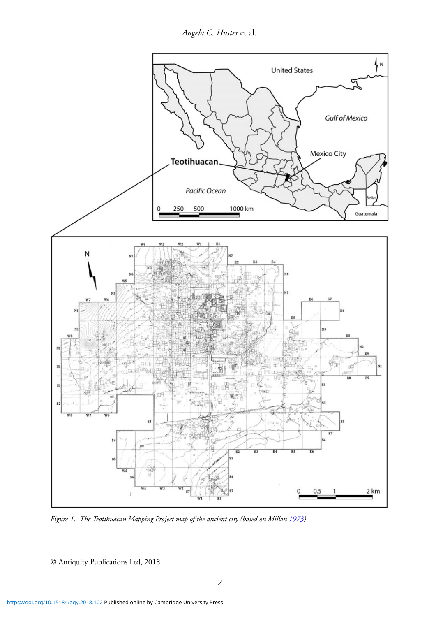*Angela C. Huster* et al.

<span id="page-1-0"></span>

*Figure 1. The Teotihuacan Mapping Project map of the ancient city (based on Millon [1973\)](#page-5-0)*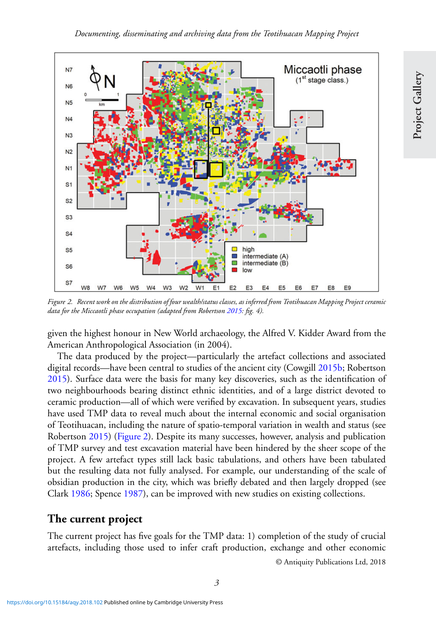

*Figure 2. Recent work on the distribution of four wealth/status classes, as inferred from Teotihuacan Mapping Project ceramic data for the Miccaotli phase occupation (adapted from Robertson [2015:](#page-5-0) fig. 4).*

given the highest honour in New World archaeology, the Alfred V. Kidder Award from the American Anthropological Association (in 2004).

The data produced by the project—particularly the artefact collections and associated digital records—have been central to studies of the ancient city (Cowgill [2015b;](#page-5-0) Robertson [2015\)](#page-5-0). Surface data were the basis for many key discoveries, such as the identification of two neighbourhoods bearing distinct ethnic identities, and of a large district devoted to ceramic production—all of which were verified by excavation. In subsequent years, studies have used TMP data to reveal much about the internal economic and social organisation of Teotihuacan, including the nature of spatio-temporal variation in wealth and status (see Robertson [2015\)](#page-5-0) (Figure 2). Despite its many successes, however, analysis and publication of TMP survey and test excavation material have been hindered by the sheer scope of the project. A few artefact types still lack basic tabulations, and others have been tabulated but the resulting data not fully analysed. For example, our understanding of the scale of obsidian production in the city, which was briefly debated and then largely dropped (see Clark [1986;](#page-5-0) Spence [1987\)](#page-5-0), can be improved with new studies on existing collections.

#### **The current project**

The current project has five goals for the TMP data: 1) completion of the study of crucial artefacts, including those used to infer craft production, exchange and other economic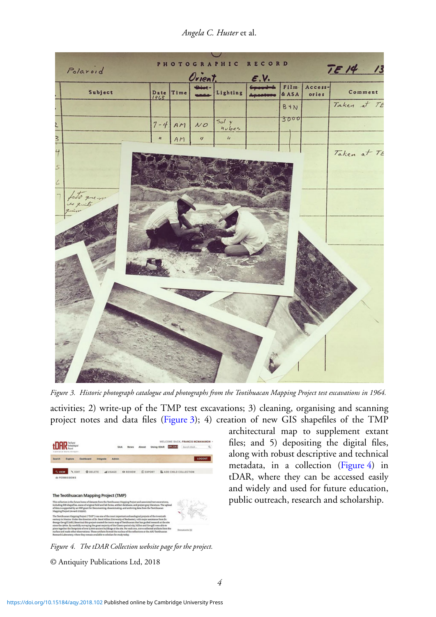**RECORD PHOTOGRAPHIC**  $TF14$ Polaroid  $/3$ Orient  $\epsilon$ .V. Film-Access-Subject  $Date$ <br> $191.8$ Lighting Comment Time & ASA ories Taken at TE B<sup>+</sup>N 3000  $5oly$  $7 - 4$  $A^{\prime}$  $N$ O  $h$ uber  $\frac{3}{2}$  $\boldsymbol{\eta}$  $\iota$  $\overline{u}$ AM Taken at TE loto que n  $\pm$ 

*Angela C. Huster* et al.

*Figure 3. Historic photograph catalogue and photographs from the Teotihuacan Mapping Project test excavations in 1964.*

activities; 2) write-up of the TMP test excavations; 3) cleaning, organising and scanning project notes and data files (Figure 3); 4) creation of new GIS shapefiles of the TMP



*Figure 4. The tDAR Collection website page for the project.*

© Antiquity Publications Ltd, 2018

architectural map to supplement extant files; and 5) depositing the digital files, along with robust descriptive and technical metadata, in a collection (Figure 4) in tDAR, where they can be accessed easily and widely and used for future education, public outreach, research and scholarship.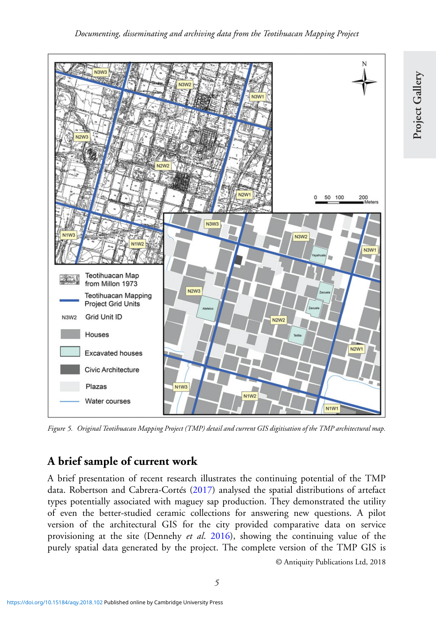<span id="page-4-0"></span>

*Figure 5. Original Teotihuacan Mapping Project (TMP) detail and current GIS digitisation of the TMP architectural map.*

## **A brief sample of current work**

A brief presentation of recent research illustrates the continuing potential of the TMP data. Robertson and Cabrera-Cortés [\(2017\)](#page-5-0) analysed the spatial distributions of artefact types potentially associated with maguey sap production. They demonstrated the utility of even the better-studied ceramic collections for answering new questions. A pilot version of the architectural GIS for the city provided comparative data on service provisioning at the site (Dennehy *et al*. [2016\)](#page-5-0), showing the continuing value of the purely spatial data generated by the project. The complete version of the TMP GIS is